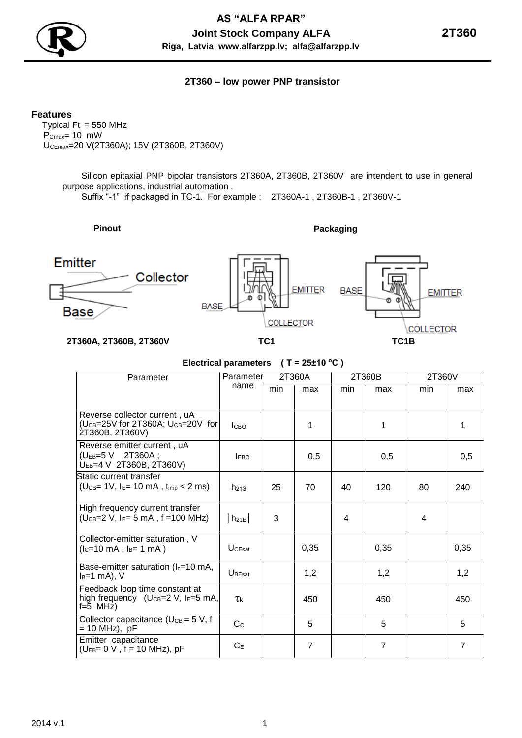

## **2T360 – low power PNP transistor**

**Features**

Typical  $Ft = 550$  MHz  $P_{Cmax} = 10$  mW UCEmax=20 V(2T360A); 15V (2Т360B, 2Т360V)

> Silicon epitaxial PNP bipolar transistors 2T360A, 2T360B, 2T360V are intendent to use in general purpose applications, industrial automation .

Suffix "-1" if packaged in TC-1. For example : 2T360A-1 , 2T360B-1 , 2T360V-1

# **Pinout Packaging**



### **Electrical parameters ( Т = 25±10 <sup>о</sup>С )**

| Parameter                                                                                 | Parameter          | 2T360A |                | 2T360B |      | 2T360V |      |
|-------------------------------------------------------------------------------------------|--------------------|--------|----------------|--------|------|--------|------|
|                                                                                           | name               | min    | max            | min    | max  | min    | max  |
|                                                                                           |                    |        |                |        |      |        |      |
| Reverse collector current, uA<br>(UCB=25V for 2T360A; UCB=20V for<br>2T360B, 2T360V)      | <b>I</b> CBO       |        | 1              |        | 1    |        | 1    |
| Reverse emitter current, uA<br>(UEB=5 V 2T360A;<br>UEB=4 V 2T360B, 2T360V)                | <b>EBO</b>         |        | 0,5            |        | 0,5  |        | 0,5  |
| Static current transfer<br>$(U_{CB} = 1V, I_{E} = 10 \text{ mA}, t_{imp} < 2 \text{ ms})$ | $h_{213}$          | 25     | 70             | 40     | 120  | 80     | 240  |
| High frequency current transfer<br>$(U_{CB}=2 V, I_{E}=5 mA, f=100 MHz)$                  | $h_{21E}$          | 3      |                | 4      |      | 4      |      |
| Collector-emitter saturation, V<br>$(lc=10 \text{ mA}, l_B=1 \text{ mA})$                 | <b>UCEsat</b>      |        | 0,35           |        | 0,35 |        | 0,35 |
| Base-emitter saturation ( $I_c = 10$ mA,<br>$I_B=1$ mA), V                                | $U_{\text{BEsat}}$ |        | 1,2            |        | 1,2  |        | 1,2  |
| Feedback loop time constant at<br>high frequency (UcB=2 V, IE=5 mA,<br>$f=5$ MHz)         | τk                 |        | 450            |        | 450  |        | 450  |
| Collector capacitance ( $U_{CB} = 5$ V, f<br>= 10 MHz), pF                                | C <sub>c</sub>     |        | 5              |        | 5    |        | 5    |
| Emitter capacitance<br>$(U_{EB} = 0 V, f = 10 MHz), pF$                                   | $C_{E}$            |        | $\overline{7}$ |        | 7    |        | 7    |